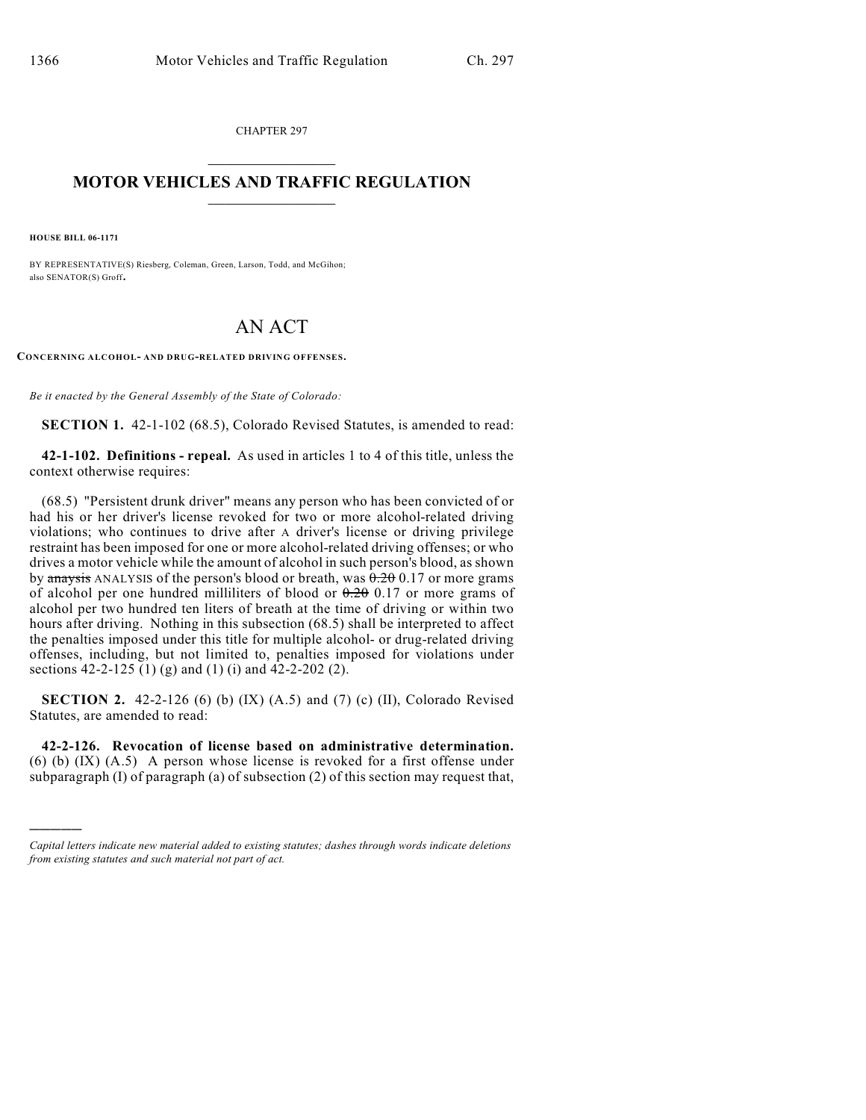CHAPTER 297  $\overline{\phantom{a}}$  . The set of the set of the set of the set of the set of the set of the set of the set of the set of the set of the set of the set of the set of the set of the set of the set of the set of the set of the set o

## **MOTOR VEHICLES AND TRAFFIC REGULATION**  $\frac{1}{2}$  ,  $\frac{1}{2}$  ,  $\frac{1}{2}$  ,  $\frac{1}{2}$  ,  $\frac{1}{2}$  ,  $\frac{1}{2}$  ,  $\frac{1}{2}$  ,  $\frac{1}{2}$

**HOUSE BILL 06-1171**

)))))

BY REPRESENTATIVE(S) Riesberg, Coleman, Green, Larson, Todd, and McGihon; also SENATOR(S) Groff.

## AN ACT

**CONCERNING ALCOHOL- AND DRUG-RELATED DRIVING OFFENSES.**

*Be it enacted by the General Assembly of the State of Colorado:*

**SECTION 1.** 42-1-102 (68.5), Colorado Revised Statutes, is amended to read:

**42-1-102. Definitions - repeal.** As used in articles 1 to 4 of this title, unless the context otherwise requires:

(68.5) "Persistent drunk driver" means any person who has been convicted of or had his or her driver's license revoked for two or more alcohol-related driving violations; who continues to drive after A driver's license or driving privilege restraint has been imposed for one or more alcohol-related driving offenses; or who drives a motor vehicle while the amount of alcohol in such person's blood, as shown by anaysis ANALYSIS of the person's blood or breath, was  $0.20017$  or more grams of alcohol per one hundred milliliters of blood or  $0.20$  0.17 or more grams of alcohol per two hundred ten liters of breath at the time of driving or within two hours after driving. Nothing in this subsection (68.5) shall be interpreted to affect the penalties imposed under this title for multiple alcohol- or drug-related driving offenses, including, but not limited to, penalties imposed for violations under sections 42-2-125 (1) (g) and (1) (i) and 42-2-202 (2).

**SECTION 2.** 42-2-126 (6) (b) (IX) (A.5) and (7) (c) (II), Colorado Revised Statutes, are amended to read:

**42-2-126. Revocation of license based on administrative determination.** (6) (b) (IX) (A.5) A person whose license is revoked for a first offense under subparagraph (I) of paragraph (a) of subsection (2) of this section may request that,

*Capital letters indicate new material added to existing statutes; dashes through words indicate deletions from existing statutes and such material not part of act.*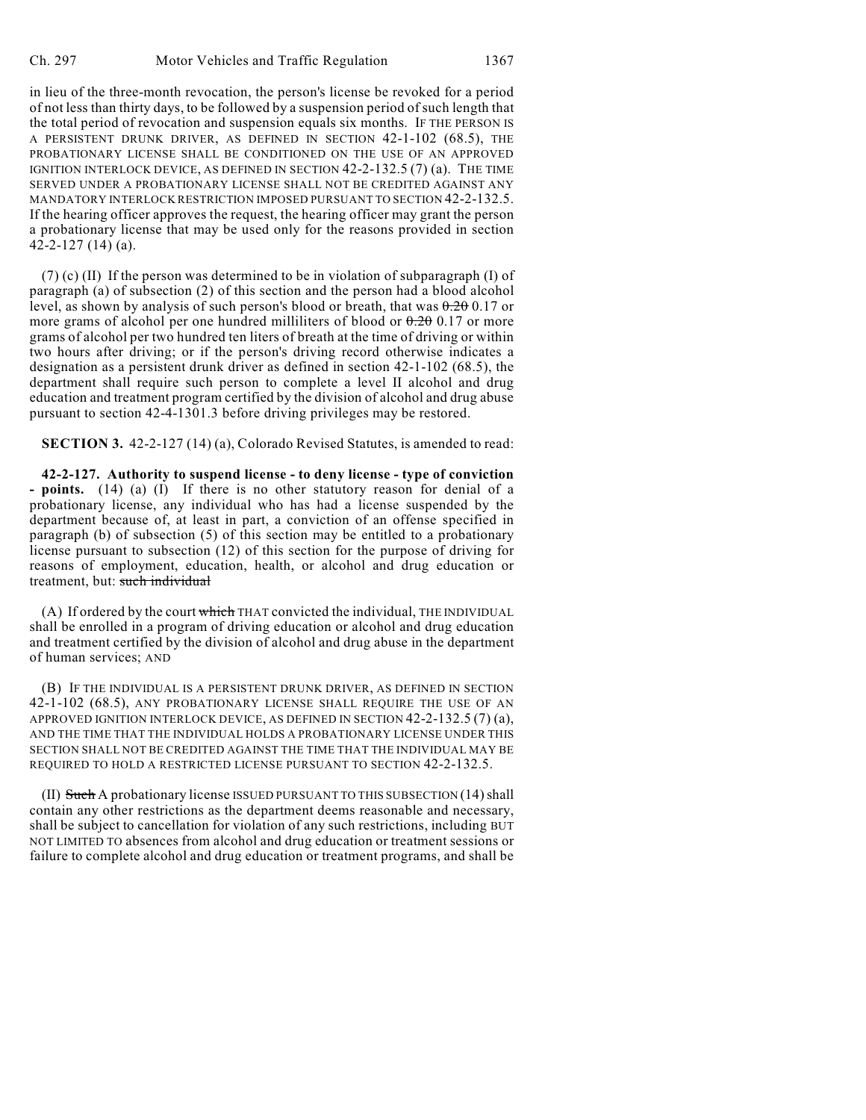in lieu of the three-month revocation, the person's license be revoked for a period of not less than thirty days, to be followed by a suspension period of such length that the total period of revocation and suspension equals six months. IF THE PERSON IS A PERSISTENT DRUNK DRIVER, AS DEFINED IN SECTION 42-1-102 (68.5), THE PROBATIONARY LICENSE SHALL BE CONDITIONED ON THE USE OF AN APPROVED IGNITION INTERLOCK DEVICE, AS DEFINED IN SECTION 42-2-132.5 (7) (a). THE TIME SERVED UNDER A PROBATIONARY LICENSE SHALL NOT BE CREDITED AGAINST ANY MANDATORY INTERLOCK RESTRICTION IMPOSED PURSUANT TO SECTION 42-2-132.5. If the hearing officer approves the request, the hearing officer may grant the person a probationary license that may be used only for the reasons provided in section 42-2-127 (14) (a).

(7) (c) (II) If the person was determined to be in violation of subparagraph (I) of paragraph (a) of subsection (2) of this section and the person had a blood alcohol level, as shown by analysis of such person's blood or breath, that was  $0.20017$  or more grams of alcohol per one hundred milliliters of blood or  $0.20017$  or more grams of alcohol per two hundred ten liters of breath at the time of driving or within two hours after driving; or if the person's driving record otherwise indicates a designation as a persistent drunk driver as defined in section 42-1-102 (68.5), the department shall require such person to complete a level II alcohol and drug education and treatment program certified by the division of alcohol and drug abuse pursuant to section 42-4-1301.3 before driving privileges may be restored.

**SECTION 3.** 42-2-127 (14) (a), Colorado Revised Statutes, is amended to read:

**42-2-127. Authority to suspend license - to deny license - type of conviction - points.** (14) (a) (I) If there is no other statutory reason for denial of a probationary license, any individual who has had a license suspended by the department because of, at least in part, a conviction of an offense specified in paragraph (b) of subsection (5) of this section may be entitled to a probationary license pursuant to subsection (12) of this section for the purpose of driving for reasons of employment, education, health, or alcohol and drug education or treatment, but: such individual

(A) If ordered by the court which THAT convicted the individual, THE INDIVIDUAL shall be enrolled in a program of driving education or alcohol and drug education and treatment certified by the division of alcohol and drug abuse in the department of human services; AND

(B) IF THE INDIVIDUAL IS A PERSISTENT DRUNK DRIVER, AS DEFINED IN SECTION 42-1-102 (68.5), ANY PROBATIONARY LICENSE SHALL REQUIRE THE USE OF AN APPROVED IGNITION INTERLOCK DEVICE, AS DEFINED IN SECTION 42-2-132.5 (7) (a), AND THE TIME THAT THE INDIVIDUAL HOLDS A PROBATIONARY LICENSE UNDER THIS SECTION SHALL NOT BE CREDITED AGAINST THE TIME THAT THE INDIVIDUAL MAY BE REQUIRED TO HOLD A RESTRICTED LICENSE PURSUANT TO SECTION 42-2-132.5.

(II) Such A probationary license ISSUED PURSUANT TO THIS SUBSECTION (14) shall contain any other restrictions as the department deems reasonable and necessary, shall be subject to cancellation for violation of any such restrictions, including BUT NOT LIMITED TO absences from alcohol and drug education or treatment sessions or failure to complete alcohol and drug education or treatment programs, and shall be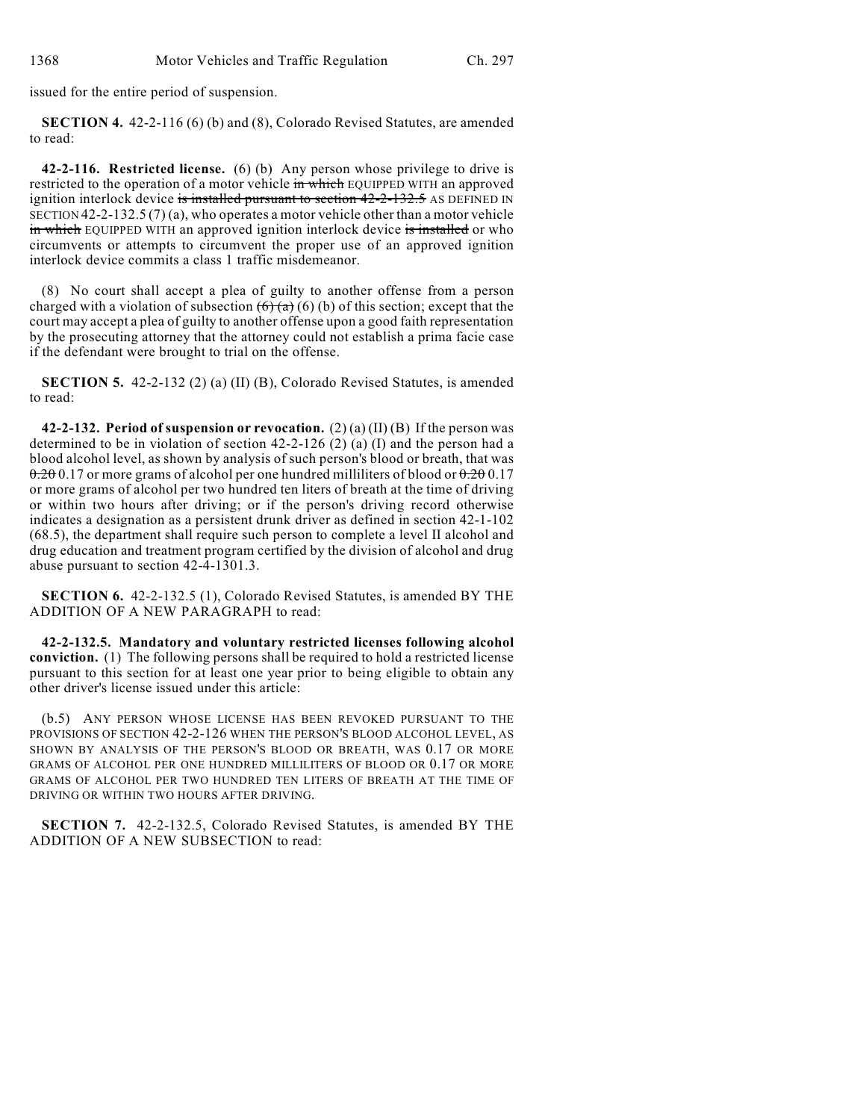issued for the entire period of suspension.

**SECTION 4.** 42-2-116 (6) (b) and (8), Colorado Revised Statutes, are amended to read:

**42-2-116. Restricted license.** (6) (b) Any person whose privilege to drive is restricted to the operation of a motor vehicle in which EQUIPPED WITH an approved ignition interlock device is installed pursuant to section 42-2-132.5 AS DEFINED IN SECTION  $42-2-132.5(7)(a)$ , who operates a motor vehicle other than a motor vehicle in which EQUIPPED WITH an approved ignition interlock device is installed or who circumvents or attempts to circumvent the proper use of an approved ignition interlock device commits a class 1 traffic misdemeanor.

(8) No court shall accept a plea of guilty to another offense from a person charged with a violation of subsection  $(6)(a)(b)$  of this section; except that the court may accept a plea of guilty to another offense upon a good faith representation by the prosecuting attorney that the attorney could not establish a prima facie case if the defendant were brought to trial on the offense.

**SECTION 5.** 42-2-132 (2) (a) (II) (B), Colorado Revised Statutes, is amended to read:

**42-2-132. Period of suspension or revocation.** (2) (a) (II) (B) If the person was determined to be in violation of section  $42-2-126$  (2) (a) (I) and the person had a blood alcohol level, as shown by analysis of such person's blood or breath, that was  $0.20$  0.17 or more grams of alcohol per one hundred milliliters of blood or  $0.20$  0.17 or more grams of alcohol per two hundred ten liters of breath at the time of driving or within two hours after driving; or if the person's driving record otherwise indicates a designation as a persistent drunk driver as defined in section 42-1-102 (68.5), the department shall require such person to complete a level II alcohol and drug education and treatment program certified by the division of alcohol and drug abuse pursuant to section 42-4-1301.3.

**SECTION 6.** 42-2-132.5 (1), Colorado Revised Statutes, is amended BY THE ADDITION OF A NEW PARAGRAPH to read:

**42-2-132.5. Mandatory and voluntary restricted licenses following alcohol conviction.** (1) The following persons shall be required to hold a restricted license pursuant to this section for at least one year prior to being eligible to obtain any other driver's license issued under this article:

(b.5) ANY PERSON WHOSE LICENSE HAS BEEN REVOKED PURSUANT TO THE PROVISIONS OF SECTION 42-2-126 WHEN THE PERSON'S BLOOD ALCOHOL LEVEL, AS SHOWN BY ANALYSIS OF THE PERSON'S BLOOD OR BREATH, WAS 0.17 OR MORE GRAMS OF ALCOHOL PER ONE HUNDRED MILLILITERS OF BLOOD OR 0.17 OR MORE GRAMS OF ALCOHOL PER TWO HUNDRED TEN LITERS OF BREATH AT THE TIME OF DRIVING OR WITHIN TWO HOURS AFTER DRIVING.

**SECTION 7.** 42-2-132.5, Colorado Revised Statutes, is amended BY THE ADDITION OF A NEW SUBSECTION to read: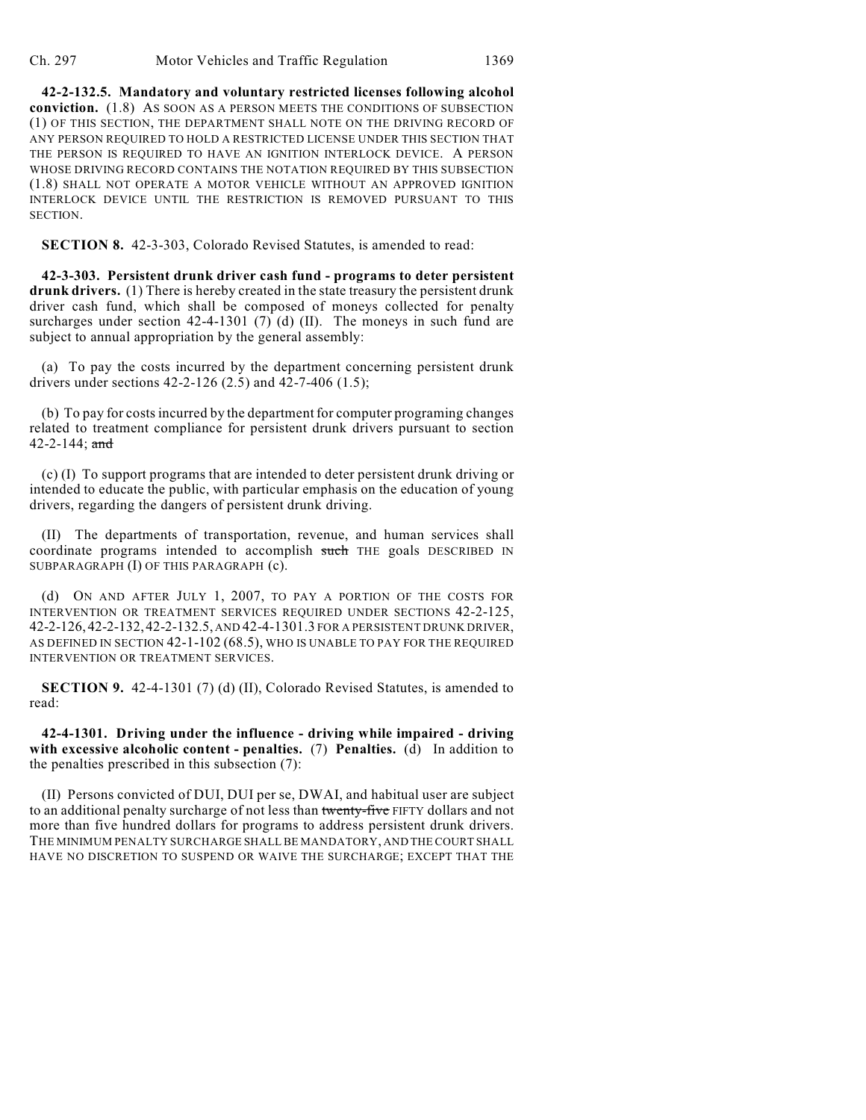Ch. 297 Motor Vehicles and Traffic Regulation 1369

**42-2-132.5. Mandatory and voluntary restricted licenses following alcohol conviction.** (1.8) AS SOON AS A PERSON MEETS THE CONDITIONS OF SUBSECTION (1) OF THIS SECTION, THE DEPARTMENT SHALL NOTE ON THE DRIVING RECORD OF ANY PERSON REQUIRED TO HOLD A RESTRICTED LICENSE UNDER THIS SECTION THAT THE PERSON IS REQUIRED TO HAVE AN IGNITION INTERLOCK DEVICE. A PERSON WHOSE DRIVING RECORD CONTAINS THE NOTATION REQUIRED BY THIS SUBSECTION (1.8) SHALL NOT OPERATE A MOTOR VEHICLE WITHOUT AN APPROVED IGNITION INTERLOCK DEVICE UNTIL THE RESTRICTION IS REMOVED PURSUANT TO THIS **SECTION** 

**SECTION 8.** 42-3-303, Colorado Revised Statutes, is amended to read:

**42-3-303. Persistent drunk driver cash fund - programs to deter persistent drunk drivers.** (1) There is hereby created in the state treasury the persistent drunk driver cash fund, which shall be composed of moneys collected for penalty surcharges under section  $42-4-1301$  (7) (d) (II). The moneys in such fund are subject to annual appropriation by the general assembly:

(a) To pay the costs incurred by the department concerning persistent drunk drivers under sections 42-2-126 (2.5) and 42-7-406 (1.5);

(b) To pay for costs incurred by the department for computer programing changes related to treatment compliance for persistent drunk drivers pursuant to section 42-2-144;  $\frac{and}{ }$ 

(c) (I) To support programs that are intended to deter persistent drunk driving or intended to educate the public, with particular emphasis on the education of young drivers, regarding the dangers of persistent drunk driving.

(II) The departments of transportation, revenue, and human services shall coordinate programs intended to accomplish such THE goals DESCRIBED IN SUBPARAGRAPH (I) OF THIS PARAGRAPH (c).

(d) ON AND AFTER JULY 1, 2007, TO PAY A PORTION OF THE COSTS FOR INTERVENTION OR TREATMENT SERVICES REQUIRED UNDER SECTIONS 42-2-125, 42-2-126,42-2-132,42-2-132.5, AND 42-4-1301.3 FOR A PERSISTENT DRUNK DRIVER, AS DEFINED IN SECTION 42-1-102 (68.5), WHO IS UNABLE TO PAY FOR THE REQUIRED INTERVENTION OR TREATMENT SERVICES.

**SECTION 9.** 42-4-1301 (7) (d) (II), Colorado Revised Statutes, is amended to read:

**42-4-1301. Driving under the influence - driving while impaired - driving with excessive alcoholic content - penalties.** (7) **Penalties.** (d) In addition to the penalties prescribed in this subsection (7):

(II) Persons convicted of DUI, DUI per se, DWAI, and habitual user are subject to an additional penalty surcharge of not less than twenty-five FIFTY dollars and not more than five hundred dollars for programs to address persistent drunk drivers. THE MINIMUM PENALTY SURCHARGE SHALL BE MANDATORY, AND THE COURT SHALL HAVE NO DISCRETION TO SUSPEND OR WAIVE THE SURCHARGE; EXCEPT THAT THE